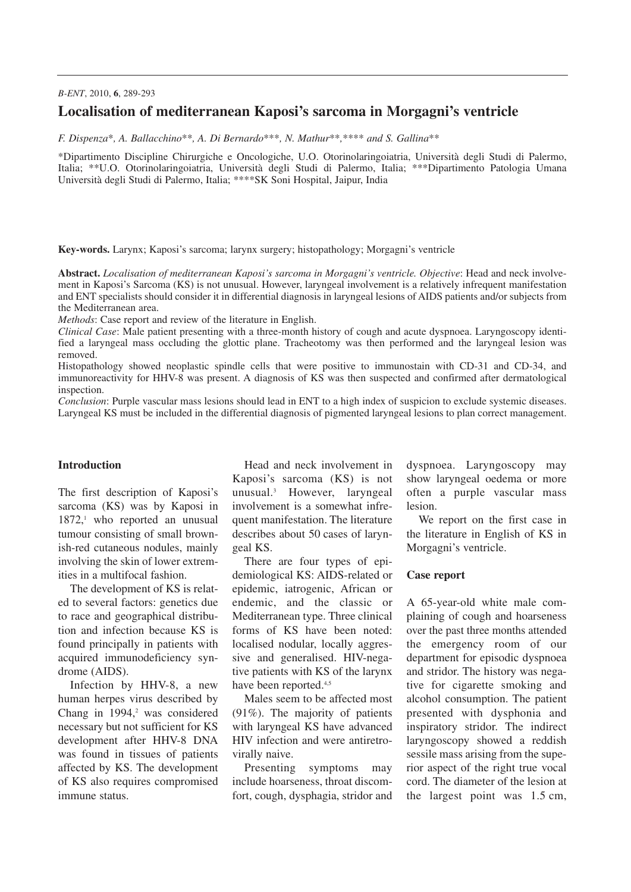## *B-ENT*, 2010, **6**, 289-293

# **Localisation of mediterranean Kaposi's sarcoma in Morgagni's ventricle**

*F. Dispenza*\**, A. Ballacchino*\*\**, A. Di Bernardo*\*\*\**, N. Mathur*\*\**,*\*\*\*\* *and S. Gallina*\*\*

\*Dipartimento Discipline Chirurgiche e Oncologiche, U.O. Otorinolaringoiatria, Università degli Studi di Palermo, Italia; \*\*U.O. Otorinolaringoiatria, Università degli Studi di Palermo, Italia; \*\*\*Dipartimento Patologia Umana Università degli Studi di Palermo, Italia; \*\*\*\*SK Soni Hospital, Jaipur, India

**Key-words.** Larynx; Kaposi's sarcoma; larynx surgery; histopathology; Morgagni's ventricle

**Abstract.** *Localisation of mediterranean Kaposi's sarcoma in Morgagni's ventricle. Objective*: Head and neck involvement in Kaposi's Sarcoma (KS) is not unusual. However, laryngeal involvement is a relatively infrequent manifestation and ENT specialists should consider it in differential diagnosis in laryngeal lesions of AIDS patients and/or subjects from the Mediterranean area.

*Methods*: Case report and review of the literature in English.

*Clinical Case*: Male patient presenting with a three-month history of cough and acute dyspnoea. Laryngoscopy identified a laryngeal mass occluding the glottic plane. Tracheotomy was then performed and the laryngeal lesion was removed.

Histopathology showed neoplastic spindle cells that were positive to immunostain with CD-31 and CD-34, and immunoreactivity for HHV-8 was present. A diagnosis of KS was then suspected and confirmed after dermatological inspection.

*Conclusion*: Purple vascular mass lesions should lead in ENT to a high index of suspicion to exclude systemic diseases. Laryngeal KS must be included in the differential diagnosis of pigmented laryngeal lesions to plan correct management.

## **Introduction**

The first description of Kaposi's sarcoma (KS) was by Kaposi in 1872, <sup>1</sup> who reported an unusual tumour consisting of small brownish-red cutaneous nodules, mainly involving the skin of lower extremities in a multifocal fashion.

The development of KS is related to several factors: genetics due to race and geographical distribution and infection because KS is found principally in patients with acquired immunodeficiency syndrome (AIDS).

Infection by HHV-8, a new human herpes virus described by Chang in 1994, <sup>2</sup> was considered necessary but not sufficient for KS development after HHV-8 DNA was found in tissues of patients affected by KS. The development of KS also requires compromised immune status.

Head and neck involvement in Kaposi's sarcoma (KS) is not unusual. <sup>3</sup> However, laryngeal involvement is a somewhat infrequent manifestation. The literature describes about 50 cases of laryngeal KS.

There are four types of epidemiological KS: AIDS-related or epidemic, iatrogenic, African or endemic, and the classic or Mediterranean type. Three clinical forms of KS have been noted: localised nodular, locally aggressive and generalised. HIV-negative patients with KS of the larynx have been reported.<sup>4,5</sup>

Males seem to be affected most (91%). The majority of patients with laryngeal KS have advanced HIV infection and were antiretrovirally naive.

Presenting symptoms may include hoarseness, throat discomfort, cough, dysphagia, stridor and dyspnoea. Laryngoscopy may show laryngeal oedema or more often a purple vascular mass lesion.

We report on the first case in the literature in English of KS in Morgagni's ventricle.

### **Case report**

A 65-year-old white male complaining of cough and hoarseness over the past three months attended the emergency room of our department for episodic dyspnoea and stridor. The history was negative for cigarette smoking and alcohol consumption. The patient presented with dysphonia and inspiratory stridor. The indirect laryngoscopy showed a reddish sessile mass arising from the superior aspect of the right true vocal cord. The diameter of the lesion at the largest point was 1.5 cm,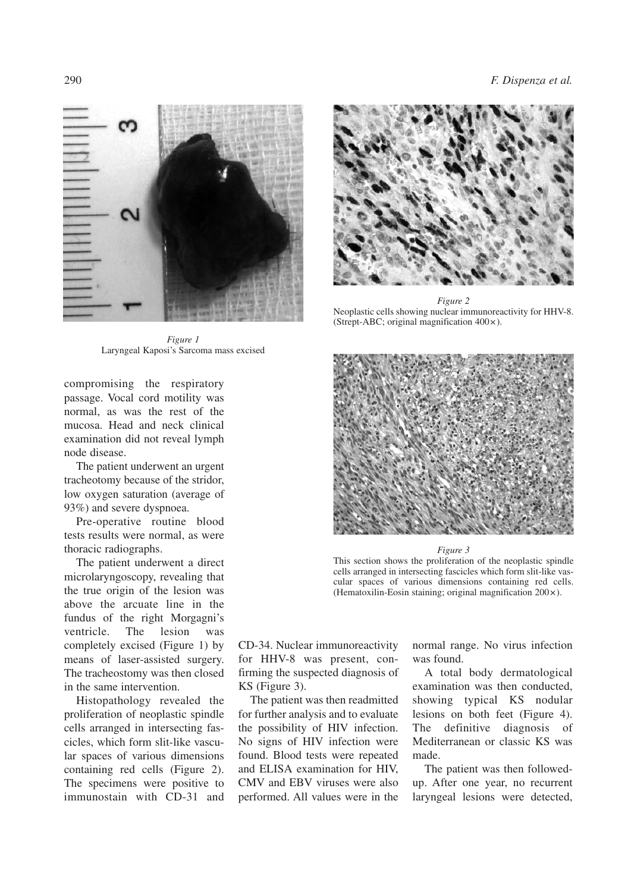

*Figure 1* Laryngeal Kaposi's Sarcoma mass excised

compromising the respiratory passage. Vocal cord motility was normal, as was the rest of the mucosa. Head and neck clinical examination did not reveal lymph node disease.

The patient underwent an urgent tracheotomy because of the stridor, low oxygen saturation (average of 93%) and severe dyspnoea.

Pre-operative routine blood tests results were normal, as were thoracic radiographs.

The patient underwent a direct microlaryngoscopy, revealing that the true origin of the lesion was above the arcuate line in the fundus of the right Morgagni's ventricle. The lesion was completely excised (Figure 1) by means of laser-assisted surgery. The tracheostomy was then closed in the same intervention.

Histopathology revealed the proliferation of neoplastic spindle cells arranged in intersecting fascicles, which form slit-like vascular spaces of various dimensions containing red cells (Figure 2). The specimens were positive to immunostain with CD-31 and



*Figure 2* Neoplastic cells showing nuclear immunoreactivity for HHV-8. (Strept-ABC; original magnification 400×).



#### *Figure 3*

This section shows the proliferation of the neoplastic spindle cells arranged in intersecting fascicles which form slit-like vascular spaces of various dimensions containing red cells. (Hematoxilin-Eosin staining; original magnification 200×).

CD-34. Nuclear immunoreactivity for HHV-8 was present, confirming the suspected diagnosis of KS (Figure 3).

The patient was then readmitted for further analysis and to evaluate the possibility of HIV infection. No signs of HIV infection were found. Blood tests were repeated and ELISA examination for HIV, CMV and EBV viruses were also performed. All values were in the

normal range. No virus infection was found.

A total body dermatological examination was then conducted, showing typical KS nodular lesions on both feet (Figure 4). The definitive diagnosis of Mediterranean or classic KS was made.

The patient was then followedup. After one year, no recurrent laryngeal lesions were detected,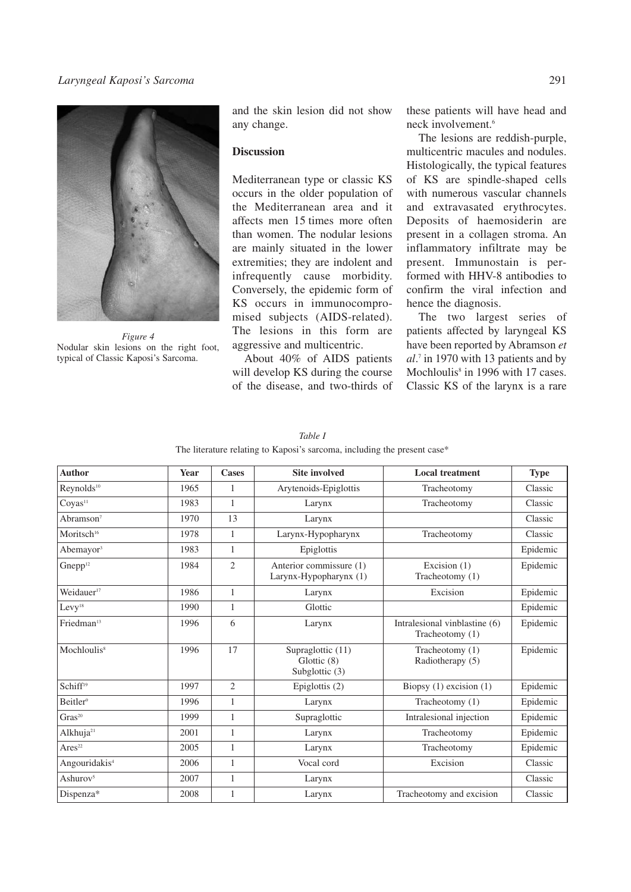# *Laryngeal Kaposi's Sarcoma* 291



*Figure 4* Nodular skin lesions on the right foot, typical of Classic Kaposi's Sarcoma.

and the skin lesion did not show any change.

## **Discussion**

Mediterranean type or classic KS occurs in the older population of the Mediterranean area and it affects men 15 times more often than women. The nodular lesions are mainly situated in the lower extremities; they are indolent and infrequently cause morbidity. Conversely, the epidemic form of KS occurs in immunocompromised subjects (AIDS-related). The lesions in this form are aggressive and multicentric.

About 40% of AIDS patients will develop KS during the course of the disease, and two-thirds of these patients will have head and neck involvement. 6

The lesions are reddish-purple, multicentric macules and nodules. Histologically, the typical features of KS are spindle-shaped cells with numerous vascular channels and extravasated erythrocytes. Deposits of haemosiderin are present in a collagen stroma. An inflammatory infiltrate may be present. Immunostain is performed with HHV-8 antibodies to confirm the viral infection and hence the diagnosis.

The two largest series of patients affected by laryngeal KS have been reported by Abramson *et al*. <sup>7</sup> in 1970 with 13 patients and by Mochloulis<sup>8</sup> in 1996 with 17 cases. Classic KS of the larynx is a rare

#### *Table I*

| The literature relating to Kaposi's sarcoma, including the present case* |  |  |  |
|--------------------------------------------------------------------------|--|--|--|
|--------------------------------------------------------------------------|--|--|--|

| <b>Author</b>             | Year | <b>Cases</b>   | <b>Site involved</b>                               | <b>Local treatment</b>                           | <b>Type</b> |
|---------------------------|------|----------------|----------------------------------------------------|--------------------------------------------------|-------------|
| Reynolds <sup>10</sup>    | 1965 | $\mathbf{1}$   | Arytenoids-Epiglottis                              | Tracheotomy                                      | Classic     |
| Coyas <sup>11</sup>       | 1983 | $\mathbf{1}$   | Larynx                                             | Tracheotomy                                      | Classic     |
| Abramson <sup>7</sup>     | 1970 | 13             | Larynx                                             |                                                  | Classic     |
| Moritsch <sup>16</sup>    | 1978 | 1              | Larynx-Hypopharynx                                 | Tracheotomy                                      | Classic     |
| Abemayor <sup>3</sup>     | 1983 | $\mathbf{1}$   | Epiglottis                                         |                                                  | Epidemic    |
| Gnepp <sup>12</sup>       | 1984 | $\overline{2}$ | Anterior commissure (1)<br>Larynx-Hypopharynx (1)  | Excision (1)<br>Tracheotomy (1)                  | Epidemic    |
| Weidauer <sup>17</sup>    | 1986 | $\mathbf{1}$   | Larynx                                             | Excision                                         | Epidemic    |
| Levy <sup>18</sup>        | 1990 | 1              | Glottic                                            |                                                  | Epidemic    |
| Friedman <sup>13</sup>    | 1996 | 6              | Larynx                                             | Intralesional vinblastine (6)<br>Tracheotomy (1) | Epidemic    |
| Mochloulis <sup>8</sup>   | 1996 | 17             | Supraglottic (11)<br>Glottic (8)<br>Subglottic (3) | Tracheotomy (1)<br>Radiotherapy (5)              | Epidemic    |
| Schiff <sup>19</sup>      | 1997 | $\overline{2}$ | Epiglottis $(2)$                                   | Biopsy $(1)$ excision $(1)$                      | Epidemic    |
| Beitler <sup>9</sup>      | 1996 | $\mathbf{1}$   | Larynx                                             | Tracheotomy (1)                                  | Epidemic    |
| $\rm Gras^{20}$           | 1999 | 1              | Supraglottic                                       | Intralesional injection                          | Epidemic    |
| Alkhuja <sup>21</sup>     | 2001 | $\mathbf{1}$   | Larynx                                             | Tracheotomy                                      | Epidemic    |
| Ares <sup>22</sup>        | 2005 | 1              | Larynx                                             | Tracheotomy                                      | Epidemic    |
| Angouridakis <sup>4</sup> | 2006 | $\mathbf{1}$   | Vocal cord                                         | Excision                                         | Classic     |
| Ashurov <sup>5</sup>      | 2007 | $\mathbf{1}$   | Larynx                                             |                                                  | Classic     |
| Dispenza*                 | 2008 | 1              | Larynx                                             | Tracheotomy and excision                         | Classic     |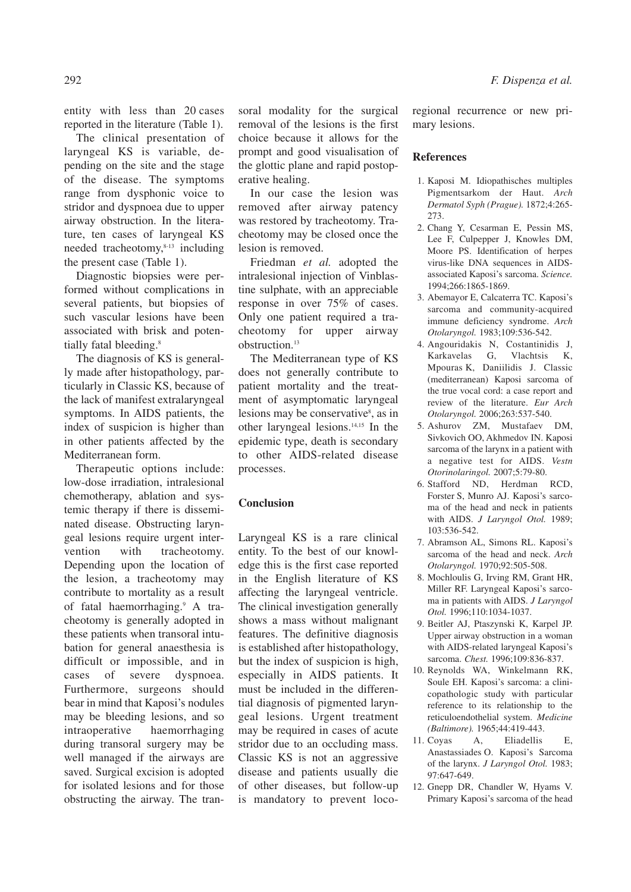entity with less than 20 cases reported in the literature (Table 1).

The clinical presentation of laryngeal KS is variable, depending on the site and the stage of the disease. The symptoms range from dysphonic voice to stridor and dyspnoea due to upper airway obstruction. In the literature, ten cases of laryngeal KS needed tracheotomy, 8-13 including the present case (Table 1).

Diagnostic biopsies were performed without complications in several patients, but biopsies of such vascular lesions have been associated with brisk and potentially fatal bleeding. 8

The diagnosis of KS is generally made after histopathology, particularly in Classic KS, because of the lack of manifest extralaryngeal symptoms. In AIDS patients, the index of suspicion is higher than in other patients affected by the Mediterranean form.

Therapeutic options include: low-dose irradiation, intralesional chemotherapy, ablation and systemic therapy if there is disseminated disease. Obstructing laryngeal lesions require urgent intervention with tracheotomy. Depending upon the location of the lesion, a tracheotomy may contribute to mortality as a result of fatal haemorrhaging. <sup>9</sup> A tracheotomy is generally adopted in these patients when transoral intubation for general anaesthesia is difficult or impossible, and in cases of severe dyspnoea. Furthermore, surgeons should bear in mind that Kaposi's nodules may be bleeding lesions, and so intraoperative haemorrhaging during transoral surgery may be well managed if the airways are saved. Surgical excision is adopted for isolated lesions and for those obstructing the airway. The tran-

soral modality for the surgical removal of the lesions is the first choice because it allows for the prompt and good visualisation of the glottic plane and rapid postoperative healing.

In our case the lesion was removed after airway patency was restored by tracheotomy. Tracheotomy may be closed once the lesion is removed.

Friedman *et al.* adopted the intralesional injection of Vinblastine sulphate, with an appreciable response in over 75% of cases. Only one patient required a tracheotomy for upper airway obstruction. 13

The Mediterranean type of KS does not generally contribute to patient mortality and the treatment of asymptomatic laryngeal lesions may be conservative<sup>8</sup>, as in other laryngeal lesions. 14,15 In the epidemic type, death is secondary to other AIDS-related disease processes.

## **Conclusion**

Laryngeal KS is a rare clinical entity. To the best of our knowledge this is the first case reported in the English literature of KS affecting the laryngeal ventricle. The clinical investigation generally shows a mass without malignant features. The definitive diagnosis is established after histopathology, but the index of suspicion is high, especially in AIDS patients. It must be included in the differential diagnosis of pigmented laryngeal lesions. Urgent treatment may be required in cases of acute stridor due to an occluding mass. Classic KS is not an aggressive disease and patients usually die of other diseases, but follow-up is mandatory to prevent locoregional recurrence or new primary lesions.

## **References**

- 1. Kaposi M. Idiopathisches multiples Pigmentsarkom der Haut. *Arch Dermatol Syph (Prague).* 1872;4:265- 273.
- 2. Chang Y, Cesarman E, Pessin MS, Lee F, Culpepper J, Knowles DM, Moore PS. Identification of herpes virus-like DNA sequences in AIDSassociated Kaposi's sarcoma. *Science.* 1994;266:1865-1869.
- 3. Abemayor E, Calcaterra TC. Kaposi's sarcoma and community-acquired immune deficiency syndrome. *Arch Otolaryngol.* 1983;109:536-542.
- 4. Angouridakis N, Costantinidis J, Karkavelas G, Vlachtsis K, Mpouras K, Daniilidis J. Classic (mediterranean) Kaposi sarcoma of the true vocal cord: a case report and review of the literature. *Eur Arch Otolaryngol.* 2006;263:537-540.
- 5. Ashurov ZM, Mustafaev DM, Sivkovich OO, Akhmedov IN. Kaposi sarcoma of the larynx in a patient with a negative test for AIDS. *Vestn Otorinolaringol.* 2007;5:79-80.
- 6. Stafford ND, Herdman RCD, Forster S, Munro AJ. Kaposi's sarcoma of the head and neck in patients with AIDS. *J Laryngol Otol.* 1989; 103:536-542.
- 7. Abramson AL, Simons RL. Kaposi's sarcoma of the head and neck. *Arch Otolaryngol.* 1970;92:505-508.
- 8. Mochloulis G, Irving RM, Grant HR, Miller RF. Laryngeal Kaposi's sarcoma in patients with AIDS. *J Laryngol Otol.* 1996;110:1034-1037.
- 9. Beitler AJ, Ptaszynski K, Karpel JP. Upper airway obstruction in a woman with AIDS-related laryngeal Kaposi's sarcoma. *Chest.* 1996;109:836-837.
- 10. Reynolds WA, Winkelmann RK, Soule EH. Kaposi's sarcoma: a clinicopathologic study with particular reference to its relationship to the reticuloendothelial system. *Medicine (Baltimore).* 1965;44:419-443.
- 11. Coyas A, Eliadellis E, Anastassiades O. Kaposi's Sarcoma of the larynx. *J Laryngol Otol.* 1983; 97:647-649.
- 12. Gnepp DR, Chandler W, Hyams V. Primary Kaposi's sarcoma of the head